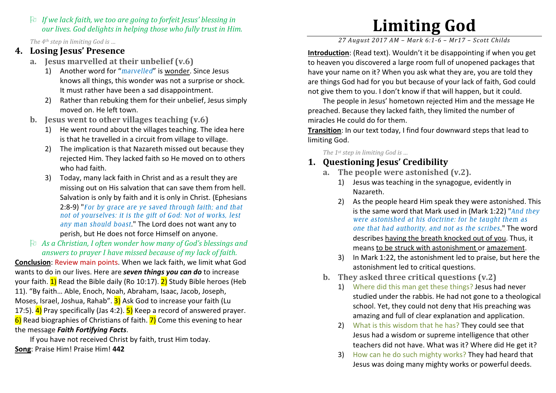$\Box$  If we lack faith, we too are going to forfeit Jesus' blessing in  $\Box$  are lives Cod delights in below a hose who fully trust in High our lives. God delights in helping those who fully trust in Him.

The 4<sup>th</sup> step in limiting God is ...

#### 4. Losing Jesus' Presence

- a. Jesus marvelled at their unbelief (v.6)
	- 1) Another word for "marvelled" is <u>wonder</u>. Since Jesus knows all things, this wonder was not a surprise or shock. It must rather have been a sad disappointment.
	- 2) Rather than rebuking them for their unbelief, Jesus simply moved on. He left town.
- b. Jesus went to other villages teaching (v.6)
	- 1) He went round about the villages teaching. The idea here is that he travelled in a circuit from village to village.
	- 2) The implication is that Nazareth missed out because they rejected Him. They lacked faith so He moved on to others who had faith.
	- 3) Today, many lack faith in Christ and as a result they are missing out on His salvation that can save them from hell.Salvation is only by faith and it is only in Christ. (Ephesians 2:8-9) "For by grace are ye saved through faith; and that not of yourselves: it is the gift of God: Not of works, lest any man should boast." The Lord does not want any to perish, but He does not force Himself on anyone.
- $\uparrow$  As a Christian, I often wonder how many of God's blessings and<br>answers to prayer I have missed because of my lack of faith answers to prayer I have missed because of my lack of faith.

Conclusion: Review main points. When we lack faith, we limit what God wants to do in our lives. Here are **seven things you can do** to increase your faith.  $1)$  Read the Bible daily (Ro 10:17).  $2)$  Study Bible heroes (Heb 11). "By faith… Able, Enoch, Noah, Abraham, Isaac, Jacob, Joseph, Moses, Israel, Joshua, Rahab".  $3$ ) Ask God to increase your faith (Lu 17:5).  $\overline{4}$  Pray specifically (Jas 4:2).  $\overline{5}$  Keep a record of answered prayer.  $\overline{6}$ ) Read biographies of Christians of faith.  $\overline{7}$ ) Come this evening to hear the message Faith Fortifying Facts.

 If you have not received Christ by faith, trust Him today. Song: Praise Him! Praise Him! 442

# Limiting God

27 August 2017 AM – Mark 6:1-6 – Mr17 – Scott Childs

Introduction: (Read text). Wouldn't it be disappointing if when you get to heaven you discovered a large room full of unopened packages that have your name on it? When you ask what they are, you are told they are things God had for you but because of your lack of faith, God could not give them to you. I don't know if that will happen, but it could.

The people in Jesus' hometown rejected Him and the message He preached. Because they lacked faith, they limited the number of miracles He could do for them.

Transition: In our text today, I find four downward steps that lead to limiting God.

The 1<sup>st</sup> step in limiting God is ...

# 1. Questioning Jesus' Credibility

- a. The people were astonished (v.2).
	- 1) Jesus was teaching in the synagogue, evidently in Nazareth.
	- 2) As the people heard Him speak they were astonished. This is the same word that Mark used in (Mark 1:22) "And they were astonished at his doctrine: for he taught them as one that had authority, and not as the scribes." The word describes having the breath knocked out of you. Thus, it means to be struck with astonishment or amazement.
	- 3) In Mark 1:22, the astonishment led to praise, but here the astonishment led to critical questions.
- b. They asked three critical questions (v.2)
	- 1) Where did this man get these things? Jesus had never studied under the rabbis. He had not gone to a theological school. Yet, they could not deny that His preaching was amazing and full of clear explanation and application.
	- 2) What is this wisdom that he has? They could see that Jesus had a wisdom or supreme intelligence that other teachers did not have. What was it? Where did He get it?
	- 3) How can he do such mighty works? They had heard that Jesus was doing many mighty works or powerful deeds.